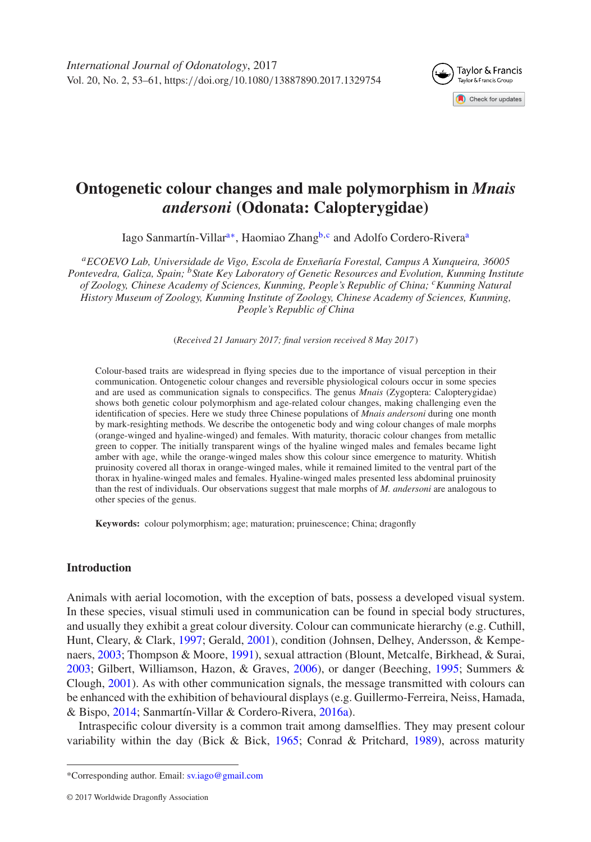<span id="page-0-3"></span>

# **Ontogenetic colour changes and male polymorphism in** *Mnais andersoni* **(Odonata: Calopterygidae)**

I[a](#page-0-0)go Sanmartín-Villar<sup>a[∗](#page-0-1)</sup>, Haomiao Zhang<sup>b,[c](#page-0-3)</sup> and Adolfo Cordero-Rivera<sup>a</sup>

<span id="page-0-0"></span>*aECOEVO Lab, Universidade de Vigo, Escola de Enxeñaría Forestal, Campus A Xunqueira, 36005 Pontevedra, Galiza, Spain; bState Key Laboratory of Genetic Resources and Evolution, Kunming Institute of Zoology, Chinese Academy of Sciences, Kunming, People's Republic of China; cKunming Natural History Museum of Zoology, Kunming Institute of Zoology, Chinese Academy of Sciences, Kunming, People's Republic of China*

<span id="page-0-2"></span>(*Received 21 January 2017; final version received 8 May 2017* )

Colour-based traits are widespread in flying species due to the importance of visual perception in their communication. Ontogenetic colour changes and reversible physiological colours occur in some species and are used as communication signals to conspecifics. The genus *Mnais* (Zygoptera: Calopterygidae) shows both genetic colour polymorphism and age-related colour changes, making challenging even the identification of species. Here we study three Chinese populations of *Mnais andersoni* during one month by mark-resighting methods. We describe the ontogenetic body and wing colour changes of male morphs (orange-winged and hyaline-winged) and females. With maturity, thoracic colour changes from metallic green to copper. The initially transparent wings of the hyaline winged males and females became light amber with age, while the orange-winged males show this colour since emergence to maturity. Whitish pruinosity covered all thorax in orange-winged males, while it remained limited to the ventral part of the thorax in hyaline-winged males and females. Hyaline-winged males presented less abdominal pruinosity than the rest of individuals. Our observations suggest that male morphs of *M. andersoni* are analogous to other species of the genus.

**Keywords:** colour polymorphism; age; maturation; pruinescence; China; dragonfly

# **Introduction**

Animals with aerial locomotion, with the exception of bats, possess a developed visual system. In these species, visual stimuli used in communication can be found in special body structures, and usually they exhibit a great colour diversity. Colour can communicate hierarchy (e.g. Cuthill, Hunt, Cleary, & Clark, [1997;](#page-7-0) Gerald, [2001\)](#page-7-1), condition (Johnsen, Delhey, Andersson, & Kempenaers, [2003;](#page-7-2) Thompson & Moore, [1991\)](#page-8-0), sexual attraction (Blount, Metcalfe, Birkhead, & Surai, [2003;](#page-7-3) Gilbert, Williamson, Hazon, & Graves, [2006\)](#page-7-4), or danger (Beeching, [1995;](#page-7-5) Summers & Clough, [2001\)](#page-8-1). As with other communication signals, the message transmitted with colours can be enhanced with the exhibition of behavioural displays (e.g. Guillermo-Ferreira, Neiss, Hamada, & Bispo, [2014;](#page-7-6) Sanmartín-Villar & Cordero-Rivera, [2016a\)](#page-8-2).

Intraspecific colour diversity is a common trait among damselflies. They may present colour variability within the day (Bick & Bick, [1965;](#page-7-7) Conrad & Pritchard, [1989\)](#page-7-8), across maturity

<span id="page-0-1"></span><sup>\*</sup>Corresponding author. Email: [sv.iago@gmail.com](mailto:sv.iago@gmail.com)

<sup>© 2017</sup> Worldwide Dragonfly Association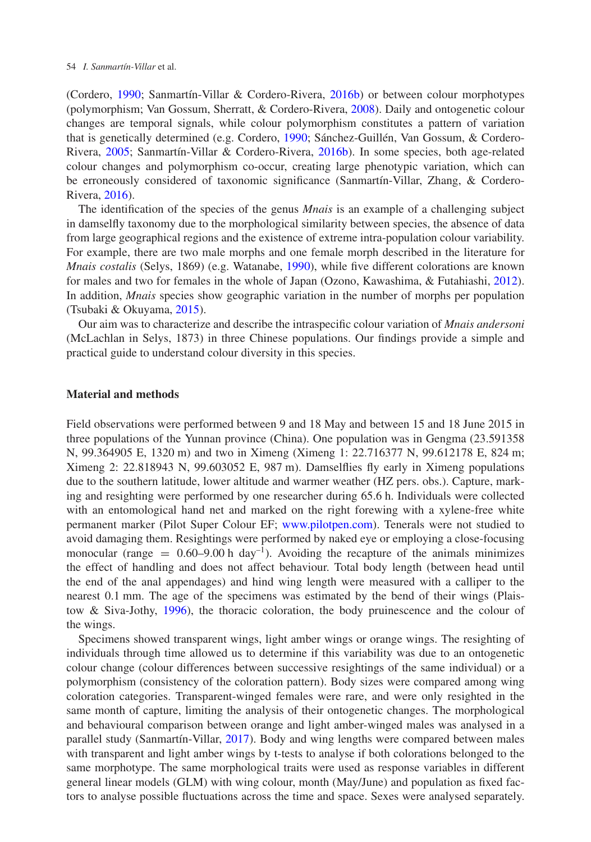(Cordero, [1990;](#page-7-9) Sanmartín-Villar & Cordero-Rivera, [2016b\)](#page-8-3) or between colour morphotypes (polymorphism; Van Gossum, Sherratt, & Cordero-Rivera, [2008\)](#page-8-4). Daily and ontogenetic colour changes are temporal signals, while colour polymorphism constitutes a pattern of variation that is genetically determined (e.g. Cordero, [1990;](#page-7-9) Sánchez-Guillén, Van Gossum, & Cordero-Rivera, [2005;](#page-7-10) Sanmartín-Villar & Cordero-Rivera, [2016b\)](#page-8-3). In some species, both age-related colour changes and polymorphism co-occur, creating large phenotypic variation, which can be erroneously considered of taxonomic significance (Sanmartín-Villar, Zhang, & Cordero-Rivera, [2016\)](#page-8-5).

The identification of the species of the genus *Mnais* is an example of a challenging subject in damselfly taxonomy due to the morphological similarity between species, the absence of data from large geographical regions and the existence of extreme intra-population colour variability. For example, there are two male morphs and one female morph described in the literature for *Mnais costalis* (Selys, 1869) (e.g. Watanabe, [1990\)](#page-8-6), while five different colorations are known for males and two for females in the whole of Japan (Ozono, Kawashima, & Futahiashi, [2012\)](#page-7-11). In addition, *Mnais* species show geographic variation in the number of morphs per population (Tsubaki & Okuyama, [2015\)](#page-8-7).

Our aim was to characterize and describe the intraspecific colour variation of *Mnais andersoni* (McLachlan in Selys, 1873) in three Chinese populations. Our findings provide a simple and practical guide to understand colour diversity in this species.

## **Material and methods**

Field observations were performed between 9 and 18 May and between 15 and 18 June 2015 in three populations of the Yunnan province (China). One population was in Gengma (23.591358 N, 99.364905 E, 1320 m) and two in Ximeng (Ximeng 1: 22.716377 N, 99.612178 E, 824 m; Ximeng 2: 22.818943 N, 99.603052 E, 987 m). Damselflies fly early in Ximeng populations due to the southern latitude, lower altitude and warmer weather (HZ pers. obs.). Capture, marking and resighting were performed by one researcher during 65.6 h. Individuals were collected with an entomological hand net and marked on the right forewing with a xylene-free white permanent marker (Pilot Super Colour EF; [www.pilotpen.com\)](www.pilotpen.com). Tenerals were not studied to avoid damaging them. Resightings were performed by naked eye or employing a close-focusing monocular (range  $= 0.60-9.00$  h day<sup>-1</sup>). Avoiding the recapture of the animals minimizes the effect of handling and does not affect behaviour. Total body length (between head until the end of the anal appendages) and hind wing length were measured with a calliper to the nearest 0.1 mm. The age of the specimens was estimated by the bend of their wings (Plaistow & Siva-Jothy, [1996\)](#page-7-12), the thoracic coloration, the body pruinescence and the colour of the wings.

Specimens showed transparent wings, light amber wings or orange wings. The resighting of individuals through time allowed us to determine if this variability was due to an ontogenetic colour change (colour differences between successive resightings of the same individual) or a polymorphism (consistency of the coloration pattern). Body sizes were compared among wing coloration categories. Transparent-winged females were rare, and were only resighted in the same month of capture, limiting the analysis of their ontogenetic changes. The morphological and behavioural comparison between orange and light amber-winged males was analysed in a parallel study (Sanmartín-Villar, [2017\)](#page-7-13). Body and wing lengths were compared between males with transparent and light amber wings by t-tests to analyse if both colorations belonged to the same morphotype. The same morphological traits were used as response variables in different general linear models (GLM) with wing colour, month (May/June) and population as fixed factors to analyse possible fluctuations across the time and space. Sexes were analysed separately.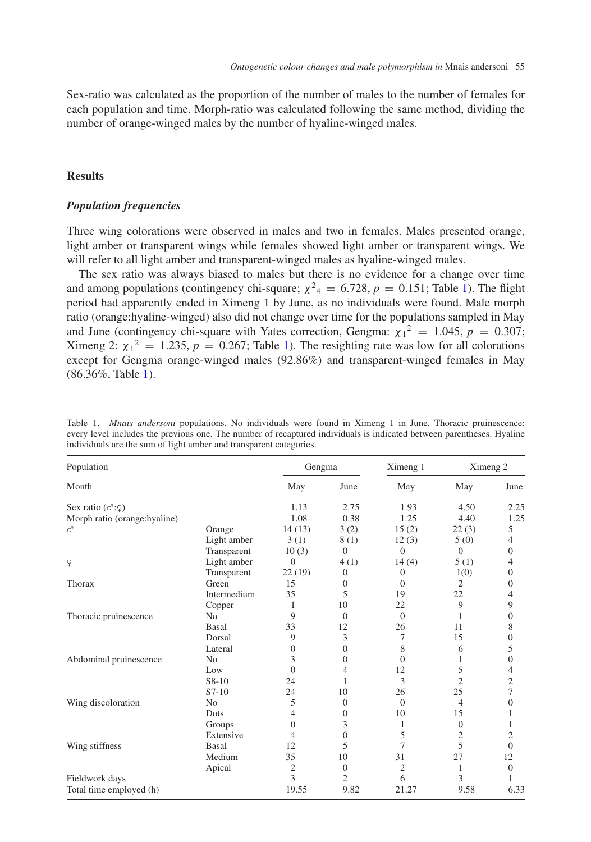Sex-ratio was calculated as the proportion of the number of males to the number of females for each population and time. Morph-ratio was calculated following the same method, dividing the number of orange-winged males by the number of hyaline-winged males.

## **Results**

## *Population frequencies*

Three wing colorations were observed in males and two in females. Males presented orange, light amber or transparent wings while females showed light amber or transparent wings. We will refer to all light amber and transparent-winged males as hyaline-winged males.

The sex ratio was always biased to males but there is no evidence for a change over time and among populations (contingency chi-square;  $\chi^2$ <sub>4</sub> = 6.728, *p* = 0.151; Table [1\)](#page-2-0). The flight period had apparently ended in Ximeng 1 by June, as no individuals were found. Male morph ratio (orange:hyaline-winged) also did not change over time for the populations sampled in May and June (contingency chi-square with Yates correction, Gengma:  $\chi_1^2 = 1.045$ ,  $p = 0.307$ ; Ximeng 2:  $\chi_1^2 = 1.235$ ,  $p = 0.267$ ; Table [1\)](#page-2-0). The resighting rate was low for all colorations except for Gengma orange-winged males (92.86%) and transparent-winged females in May (86.36%, Table [1\)](#page-2-0).

| Population                       |                | Gengma         |                | Ximeng 1       | Ximeng 2       |                  |
|----------------------------------|----------------|----------------|----------------|----------------|----------------|------------------|
| Month                            |                | May            | June           | May            | May            | June             |
| Sex ratio $(\sigma$ : $\varphi)$ |                | 1.13           | 2.75           | 1.93           | 4.50           | 2.25             |
| Morph ratio (orange:hyaline)     |                | 1.08           | 0.38           | 1.25           | 4.40           | 1.25             |
| ♂                                | Orange         | 14(13)         | 3(2)           | 15(2)          | 22(3)          | 5                |
|                                  | Light amber    | 3(1)           | 8(1)           | 12(3)          | 5(0)           | $\overline{4}$   |
|                                  | Transparent    | 10(3)          | $\Omega$       | $\Omega$       | $\theta$       | $\mathbf{0}$     |
| $\overline{P}$                   | Light amber    | $\Omega$       | 4(1)           | 14(4)          | 5(1)           | 4                |
|                                  | Transparent    | 22(19)         | $\overline{0}$ | $\Omega$       | 1(0)           | $\overline{0}$   |
| Thorax                           | Green          | 15             | $\Omega$       | $\theta$       | 2              | $\boldsymbol{0}$ |
|                                  | Intermedium    | 35             | 5              | 19             | 22             | 4                |
|                                  | Copper         | 1              | 10             | 22             | 9              | 9                |
| Thoracic pruinescence            | N <sub>0</sub> | 9              | $\Omega$       | $\Omega$       | 1              | $\mathbf{0}$     |
|                                  | Basal          | 33             | 12             | 26             | 11             | 8                |
|                                  | Dorsal         | 9              | 3              | 7              | 15             | $\boldsymbol{0}$ |
|                                  | Lateral        | $\overline{0}$ | $\Omega$       | 8              | 6              | 5                |
| Abdominal pruinescence           | N <sub>0</sub> | 3              | $\Omega$       | $\theta$       | 1              | $\boldsymbol{0}$ |
|                                  | Low            | $\Omega$       | 4              | 12             | 5              | 4                |
|                                  | $S8-10$        | 24             | 1              | 3              | $\overline{2}$ | $\overline{c}$   |
|                                  | $S7-10$        | 24             | 10             | 26             | 25             | $\boldsymbol{7}$ |
| Wing discoloration               | N <sub>0</sub> | 5              | $\Omega$       | $\Omega$       | 4              | $\mathbf{0}$     |
|                                  | Dots           | $\overline{4}$ | $\Omega$       | 10             | 15             | 1                |
|                                  | Groups         | $\overline{0}$ | 3              | 1              | $\mathbf{0}$   | 1                |
|                                  | Extensive      | $\overline{4}$ | $\mathbf{0}$   | 5              | $\overline{c}$ | $\overline{c}$   |
| Wing stiffness                   | Basal          | 12             | 5              | 7              | 5              | $\boldsymbol{0}$ |
|                                  | Medium         | 35             | 10             | 31             | 27             | 12               |
|                                  | Apical         | $\overline{c}$ | $\Omega$       | $\mathfrak{2}$ | 1              | $\boldsymbol{0}$ |
| Fieldwork days                   |                | $\overline{3}$ | $\overline{2}$ | 6              | 3              | 1                |
| Total time employed (h)          |                | 19.55          | 9.82           | 21.27          | 9.58           | 6.33             |

<span id="page-2-0"></span>Table 1. *Mnais andersoni* populations. No individuals were found in Ximeng 1 in June. Thoracic pruinescence: every level includes the previous one. The number of recaptured individuals is indicated between parentheses. Hyaline individuals are the sum of light amber and transparent categories.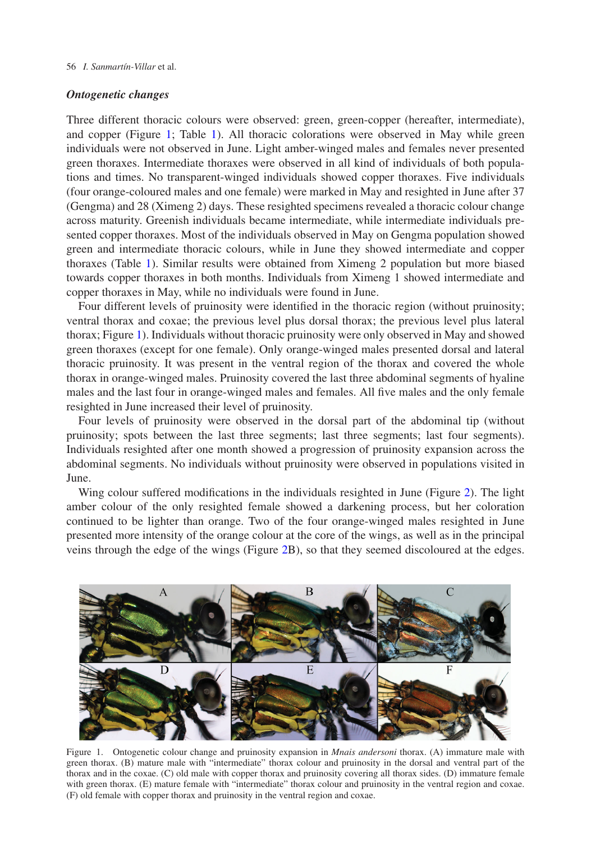#### 56 *I. Sanmartín-Villar* et al.

### *Ontogenetic changes*

Three different thoracic colours were observed: green, green-copper (hereafter, intermediate), and copper (Figure [1;](#page-3-0) Table [1\)](#page-2-0). All thoracic colorations were observed in May while green individuals were not observed in June. Light amber-winged males and females never presented green thoraxes. Intermediate thoraxes were observed in all kind of individuals of both populations and times. No transparent-winged individuals showed copper thoraxes. Five individuals (four orange-coloured males and one female) were marked in May and resighted in June after 37 (Gengma) and 28 (Ximeng 2) days. These resighted specimens revealed a thoracic colour change across maturity. Greenish individuals became intermediate, while intermediate individuals presented copper thoraxes. Most of the individuals observed in May on Gengma population showed green and intermediate thoracic colours, while in June they showed intermediate and copper thoraxes (Table [1\)](#page-2-0). Similar results were obtained from Ximeng 2 population but more biased towards copper thoraxes in both months. Individuals from Ximeng 1 showed intermediate and copper thoraxes in May, while no individuals were found in June.

Four different levels of pruinosity were identified in the thoracic region (without pruinosity; ventral thorax and coxae; the previous level plus dorsal thorax; the previous level plus lateral thorax; Figure [1\)](#page-3-0). Individuals without thoracic pruinosity were only observed in May and showed green thoraxes (except for one female). Only orange-winged males presented dorsal and lateral thoracic pruinosity. It was present in the ventral region of the thorax and covered the whole thorax in orange-winged males. Pruinosity covered the last three abdominal segments of hyaline males and the last four in orange-winged males and females. All five males and the only female resighted in June increased their level of pruinosity.

Four levels of pruinosity were observed in the dorsal part of the abdominal tip (without pruinosity; spots between the last three segments; last three segments; last four segments). Individuals resighted after one month showed a progression of pruinosity expansion across the abdominal segments. No individuals without pruinosity were observed in populations visited in June.

Wing colour suffered modifications in the individuals resighted in June (Figure [2\)](#page-4-0). The light amber colour of the only resighted female showed a darkening process, but her coloration continued to be lighter than orange. Two of the four orange-winged males resighted in June presented more intensity of the orange colour at the core of the wings, as well as in the principal veins through the edge of the wings (Figure [2B](#page-4-0)), so that they seemed discoloured at the edges.



<span id="page-3-0"></span>Figure 1. Ontogenetic colour change and pruinosity expansion in *Mnais andersoni* thorax. (A) immature male with green thorax. (B) mature male with "intermediate" thorax colour and pruinosity in the dorsal and ventral part of the thorax and in the coxae. (C) old male with copper thorax and pruinosity covering all thorax sides. (D) immature female with green thorax. (E) mature female with "intermediate" thorax colour and pruinosity in the ventral region and coxae. (F) old female with copper thorax and pruinosity in the ventral region and coxae.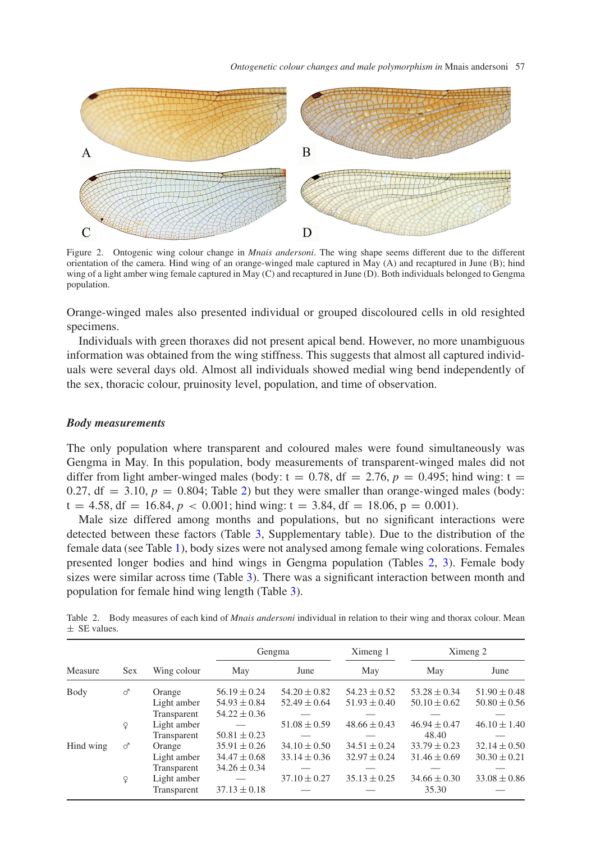*Ontogenetic colour changes and male polymorphism in* Mnais andersoni 57



<span id="page-4-0"></span>Figure 2. Ontogenic wing colour change in *Mnais andersoni*. The wing shape seems different due to the different orientation of the camera. Hind wing of an orange-winged male captured in May (A) and recaptured in June (B); hind wing of a light amber wing female captured in May (C) and recaptured in June (D). Both individuals belonged to Gengma population.

Orange-winged males also presented individual or grouped discoloured cells in old resighted specimens.

Individuals with green thoraxes did not present apical bend. However, no more unambiguous information was obtained from the wing stiffness. This suggests that almost all captured individuals were several days old. Almost all individuals showed medial wing bend independently of the sex, thoracic colour, pruinosity level, population, and time of observation.

## *Body measurements*

The only population where transparent and coloured males were found simultaneously was Gengma in May. In this population, body measurements of transparent-winged males did not differ from light amber-winged males (body:  $t = 0.78$ ,  $df = 2.76$ ,  $p = 0.495$ ; hind wing:  $t =$ 0.27,  $df = 3.10$ ,  $p = 0.804$ ; Table [2\)](#page-4-1) but they were smaller than orange-winged males (body:  $t = 4.58$ ,  $df = 16.84$ ,  $p < 0.001$ ; hind wing:  $t = 3.84$ ,  $df = 18.06$ ,  $p = 0.001$ ).

Male size differed among months and populations, but no significant interactions were detected between these factors (Table [3,](#page-5-0) Supplementary table). Due to the distribution of the female data (see Table [1\)](#page-2-0), body sizes were not analysed among female wing colorations. Females presented longer bodies and hind wings in Gengma population (Tables [2,](#page-4-1) [3\)](#page-5-0). Female body sizes were similar across time (Table [3\)](#page-5-0). There was a significant interaction between month and population for female hind wing length (Table [3\)](#page-5-0).

<span id="page-4-1"></span>Table 2. Body measures of each kind of *Mnais andersoni* individual in relation to their wing and thorax colour. Mean  $\pm$  SE values.

|           | <b>Sex</b> | Wing colour | Gengma           |                  | Ximeng 1         | Ximeng 2         |                  |  |
|-----------|------------|-------------|------------------|------------------|------------------|------------------|------------------|--|
| Measure   |            |             | May              | June             | May              | May              | June             |  |
| Body      | ♂          | Orange      | $56.19 \pm 0.24$ | $54.20 \pm 0.82$ | $54.23 \pm 0.52$ | $53.28 \pm 0.34$ | $51.90 \pm 0.48$ |  |
|           |            | Light amber | $54.93 \pm 0.84$ | $52.49 \pm 0.64$ | $51.93 \pm 0.40$ | $50.10 \pm 0.62$ | $50.80 \pm 0.56$ |  |
|           |            | Transparent | $54.22 \pm 0.36$ |                  |                  |                  |                  |  |
|           | ¥          | Light amber |                  | $51.08 \pm 0.59$ | $48.66 \pm 0.43$ | $46.94 \pm 0.47$ | $46.10 \pm 1.40$ |  |
|           |            | Transparent | $50.81 \pm 0.23$ |                  |                  | 48.40            |                  |  |
| Hind wing | ♂          | Orange      | $35.91 \pm 0.26$ | $34.10 \pm 0.50$ | $34.51 \pm 0.24$ | $33.79 \pm 0.23$ | $32.14 \pm 0.50$ |  |
|           |            | Light amber | $34.47 \pm 0.68$ | $33.14 \pm 0.36$ | $32.97 \pm 0.24$ | $31.46 \pm 0.69$ | $30.30 \pm 0.21$ |  |
|           |            | Transparent | $34.26 \pm 0.34$ |                  |                  |                  |                  |  |
|           | ¥          | Light amber |                  | $37.10 \pm 0.27$ | $35.13 \pm 0.25$ | $34.66 \pm 0.30$ | $33.08 \pm 0.86$ |  |
|           |            | Transparent | $37.13 \pm 0.18$ |                  |                  | 35.30            |                  |  |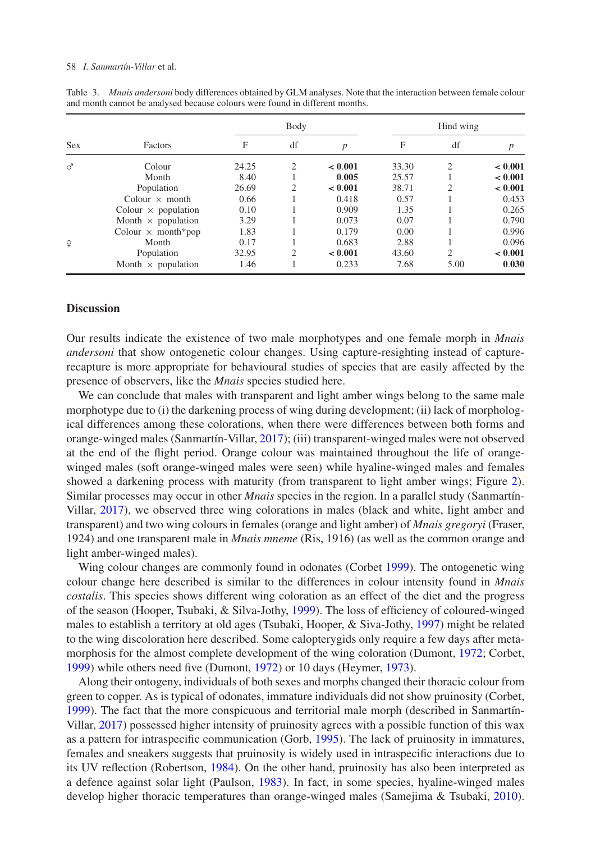|            |                            | Body  |                |         |       | Hind wing      |                  |
|------------|----------------------------|-------|----------------|---------|-------|----------------|------------------|
| <b>Sex</b> | Factors                    | F     | df             | р       | F     | df             | $\boldsymbol{p}$ |
| ♂          | Colour                     | 24.25 | $\overline{c}$ | < 0.001 | 33.30 | $\overline{2}$ | < 0.001          |
|            | Month                      | 8.40  |                | 0.005   | 25.57 |                | < 0.001          |
|            | Population                 | 26.69 | $\overline{c}$ | < 0.001 | 38.71 | $\overline{2}$ | < 0.001          |
|            | Colour $\times$ month      | 0.66  |                | 0.418   | 0.57  |                | 0.453            |
|            | Colour $\times$ population | 0.10  |                | 0.909   | 1.35  |                | 0.265            |
|            | Month $\times$ population  | 3.29  |                | 0.073   | 0.07  |                | 0.790            |
|            | Colour $\times$ month*pop  | 1.83  |                | 0.179   | 0.00  |                | 0.996            |
| ¥          | Month                      | 0.17  |                | 0.683   | 2.88  |                | 0.096            |
|            | Population                 | 32.95 | 2              | < 0.001 | 43.60 | $\overline{2}$ | < 0.001          |
|            | Month $\times$ population  | 1.46  |                | 0.233   | 7.68  | 5.00           | 0.030            |

<span id="page-5-0"></span>Table 3. *Mnais andersoni* body differences obtained by GLM analyses. Note that the interaction between female colour and month cannot be analysed because colours were found in different months.

## **Discussion**

Our results indicate the existence of two male morphotypes and one female morph in *Mnais andersoni* that show ontogenetic colour changes. Using capture-resighting instead of capturerecapture is more appropriate for behavioural studies of species that are easily affected by the presence of observers, like the *Mnais* species studied here.

We can conclude that males with transparent and light amber wings belong to the same male morphotype due to (i) the darkening process of wing during development; (ii) lack of morphological differences among these colorations, when there were differences between both forms and orange-winged males (Sanmartín-Villar, [2017\)](#page-7-13); (iii) transparent-winged males were not observed at the end of the flight period. Orange colour was maintained throughout the life of orangewinged males (soft orange-winged males were seen) while hyaline-winged males and females showed a darkening process with maturity (from transparent to light amber wings; Figure [2\)](#page-4-0). Similar processes may occur in other *Mnais* species in the region. In a parallel study (Sanmartín-Villar, [2017\)](#page-7-13), we observed three wing colorations in males (black and white, light amber and transparent) and two wing colours in females (orange and light amber) of *Mnais gregoryi* (Fraser, 1924) and one transparent male in *Mnais mneme* (Ris, 1916) (as well as the common orange and light amber-winged males).

Wing colour changes are commonly found in odonates (Corbet [1999\)](#page-7-14). The ontogenetic wing colour change here described is similar to the differences in colour intensity found in *Mnais costalis*. This species shows different wing coloration as an effect of the diet and the progress of the season (Hooper, Tsubaki, & Silva-Jothy, [1999\)](#page-7-15). The loss of efficiency of coloured-winged males to establish a territory at old ages (Tsubaki, Hooper, & Siva-Jothy, [1997\)](#page-8-8) might be related to the wing discoloration here described. Some calopterygids only require a few days after metamorphosis for the almost complete development of the wing coloration (Dumont, [1972;](#page-7-16) Corbet, [1999\)](#page-7-14) while others need five (Dumont, [1972\)](#page-7-16) or 10 days (Heymer, [1973\)](#page-7-17).

Along their ontogeny, individuals of both sexes and morphs changed their thoracic colour from green to copper. As is typical of odonates, immature individuals did not show pruinosity (Corbet, [1999\)](#page-7-14). The fact that the more conspicuous and territorial male morph (described in Sanmartín-Villar, [2017\)](#page-7-13) possessed higher intensity of pruinosity agrees with a possible function of this wax as a pattern for intraspecific communication (Gorb, [1995\)](#page-7-18). The lack of pruinosity in immatures, females and sneakers suggests that pruinosity is widely used in intraspecific interactions due to its UV reflection (Robertson, [1984\)](#page-7-19). On the other hand, pruinosity has also been interpreted as a defence against solar light (Paulson, [1983\)](#page-7-20). In fact, in some species, hyaline-winged males develop higher thoracic temperatures than orange-winged males (Samejima & Tsubaki, [2010\)](#page-7-21).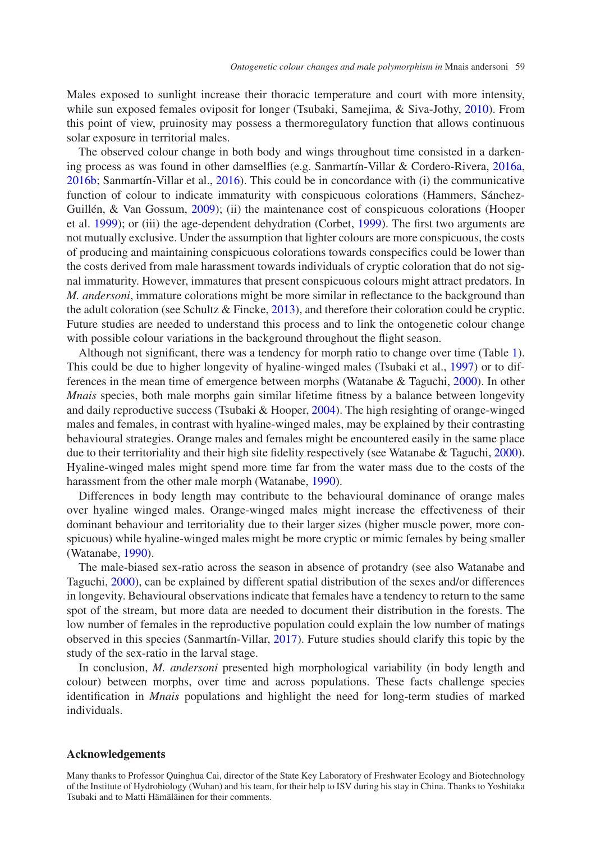Males exposed to sunlight increase their thoracic temperature and court with more intensity, while sun exposed females oviposit for longer (Tsubaki, Samejima, & Siva-Jothy, [2010\)](#page-8-9). From this point of view, pruinosity may possess a thermoregulatory function that allows continuous solar exposure in territorial males.

The observed colour change in both body and wings throughout time consisted in a darkening process as was found in other damselflies (e.g. Sanmartín-Villar & Cordero-Rivera, [2016a,](#page-8-2) [2016b;](#page-8-3) Sanmartín-Villar et al., [2016\)](#page-8-5). This could be in concordance with (i) the communicative function of colour to indicate immaturity with conspicuous colorations (Hammers, Sánchez-Guillén, & Van Gossum, [2009\)](#page-7-22); (ii) the maintenance cost of conspicuous colorations (Hooper et al. [1999\)](#page-7-15); or (iii) the age-dependent dehydration (Corbet, [1999\)](#page-7-14). The first two arguments are not mutually exclusive. Under the assumption that lighter colours are more conspicuous, the costs of producing and maintaining conspicuous colorations towards conspecifics could be lower than the costs derived from male harassment towards individuals of cryptic coloration that do not signal immaturity. However, immatures that present conspicuous colours might attract predators. In *M. andersoni*, immature colorations might be more similar in reflectance to the background than the adult coloration (see Schultz & Fincke, [2013\)](#page-8-10), and therefore their coloration could be cryptic. Future studies are needed to understand this process and to link the ontogenetic colour change with possible colour variations in the background throughout the flight season.

Although not significant, there was a tendency for morph ratio to change over time (Table [1\)](#page-2-0). This could be due to higher longevity of hyaline-winged males (Tsubaki et al., [1997\)](#page-8-8) or to differences in the mean time of emergence between morphs (Watanabe & Taguchi, [2000\)](#page-8-11). In other *Mnais* species, both male morphs gain similar lifetime fitness by a balance between longevity and daily reproductive success (Tsubaki & Hooper, [2004\)](#page-8-12). The high resighting of orange-winged males and females, in contrast with hyaline-winged males, may be explained by their contrasting behavioural strategies. Orange males and females might be encountered easily in the same place due to their territoriality and their high site fidelity respectively (see Watanabe & Taguchi, [2000\)](#page-8-11). Hyaline-winged males might spend more time far from the water mass due to the costs of the harassment from the other male morph (Watanabe, [1990\)](#page-8-6).

Differences in body length may contribute to the behavioural dominance of orange males over hyaline winged males. Orange-winged males might increase the effectiveness of their dominant behaviour and territoriality due to their larger sizes (higher muscle power, more conspicuous) while hyaline-winged males might be more cryptic or mimic females by being smaller (Watanabe, [1990\)](#page-8-6).

The male-biased sex-ratio across the season in absence of protandry (see also Watanabe and Taguchi, [2000\)](#page-8-11), can be explained by different spatial distribution of the sexes and/or differences in longevity. Behavioural observations indicate that females have a tendency to return to the same spot of the stream, but more data are needed to document their distribution in the forests. The low number of females in the reproductive population could explain the low number of matings observed in this species (Sanmartín-Villar, [2017\)](#page-7-13). Future studies should clarify this topic by the study of the sex-ratio in the larval stage.

In conclusion, *M. andersoni* presented high morphological variability (in body length and colour) between morphs, over time and across populations. These facts challenge species identification in *Mnais* populations and highlight the need for long-term studies of marked individuals.

#### **Acknowledgements**

Many thanks to Professor Quinghua Cai, director of the State Key Laboratory of Freshwater Ecology and Biotechnology of the Institute of Hydrobiology (Wuhan) and his team, for their help to ISV during his stay in China. Thanks to Yoshitaka Tsubaki and to Matti Hämäläinen for their comments.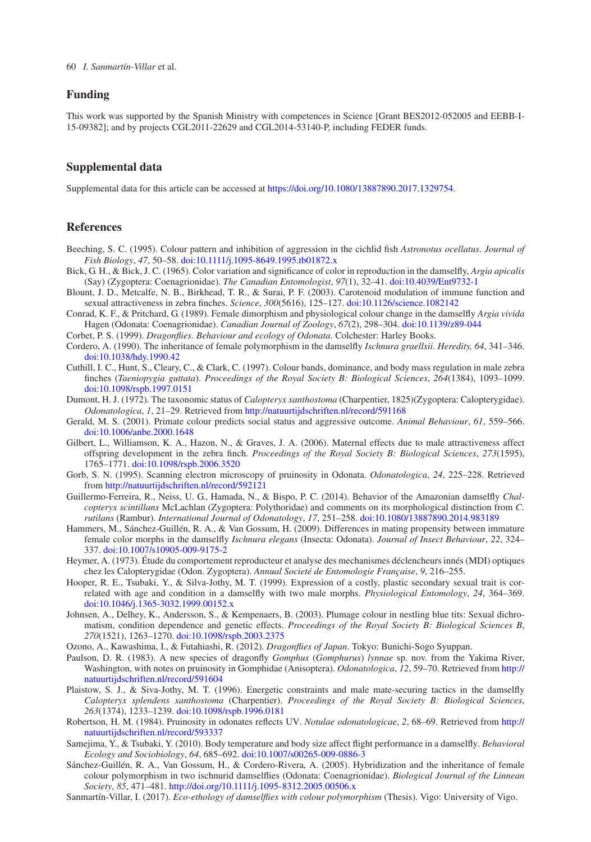#### 60 *I. Sanmartín-Villar* et al.

## **Funding**

This work was supported by the Spanish Ministry with competences in Science [Grant BES2012-052005 and EEBB-I-15-09382]; and by projects CGL2011-22629 and CGL2014-53140-P, including FEDER funds.

### **Supplemental data**

Supplemental data for this article can be accessed at [https://doi.org/10.1080/13887890.2017.1329754.](https://doi.org/10.1080/13887890.2017.1329754)

### **References**

- <span id="page-7-5"></span>Beeching, S. C. (1995). Colour pattern and inhibition of aggression in the cichlid fish *Astronotus ocellatus*. *Journal of Fish Biology*, *47*, 50–58. [doi:10.1111/j.1095-8649.1995.tb01872.x](https://doi.org/10.1111/j.1095-8649.1995.tb01872.x)
- <span id="page-7-7"></span>Bick, G. H., & Bick, J. C. (1965). Color variation and significance of color in reproduction in the damselfly, *Argia apicalis* (Say) (Zygoptera: Coenagrionidae). *The Canadian Entomologist*, *97*(1), 32–41. [doi:10.4039/Ent9732-1](https://doi.org/10.4039/Ent9732-1)
- <span id="page-7-3"></span>Blount, J. D., Metcalfe, N. B., Birkhead, T. R., & Surai, P. F. (2003). Carotenoid modulation of immune function and sexual attractiveness in zebra finches. *Science*, *300*(5616), 125–127. [doi:10.1126/science.1082142](https://doi.org/10.1126/science.1082142)
- <span id="page-7-8"></span>Conrad, K. F., & Pritchard, G. (1989). Female dimorphism and physiological colour change in the damselfly *Argia vivida* Hagen (Odonata: Coenagrionidae). *Canadian Journal of Zoology*, *67*(2), 298–304. [doi:10.1139/z89-044](https://doi.org/10.1139/z89-044)
- Corbet, P. S. (1999). *Dragonflies. Behaviour and ecology of Odonata*. Colchester: Harley Books.
- <span id="page-7-14"></span><span id="page-7-9"></span>Cordero, A. (1990). The inheritance of female polymorphism in the damselfly *Ischnura graellsii*. *Heredity, 64*, 341–346. [doi:10.1038/hdy.1990.42](https://doi.org/10.1038/hdy.1990.42)
- <span id="page-7-0"></span>Cuthill, I. C., Hunt, S., Cleary, C., & Clark, C. (1997). Colour bands, dominance, and body mass regulation in male zebra finches (*Taeniopygia guttata*). *Proceedings of the Royal Society B: Biological Sciences*, *264*(1384), 1093–1099. [doi:10.1098/rspb.1997.0151](https://doi.org/10.1098/rspb.1997.0151)
- <span id="page-7-16"></span>Dumont, H. J. (1972). The taxonomic status of *Calopteryx xanthostoma* (Charpentier, 1825)(Zygoptera: Calopterygidae). *Odonatologica*, *1*, 21–29. Retrieved from <http://natuurtijdschriften.nl/record/591168>
- <span id="page-7-1"></span>Gerald, M. S. (2001). Primate colour predicts social status and aggressive outcome. *Animal Behaviour*, *61*, 559–566. [doi:10.1006/anbe.2000.1648](https://doi.org/10.1006/anbe.2000.1648)
- <span id="page-7-4"></span>Gilbert, L., Williamson, K. A., Hazon, N., & Graves, J. A. (2006). Maternal effects due to male attractiveness affect offspring development in the zebra finch. *Proceedings of the Royal Society B: Biological Sciences*, *273*(1595), 1765–1771. [doi:10.1098/rspb.2006.3520](https://doi.org/10.1098/rspb.2006.3520)
- <span id="page-7-18"></span>Gorb, S. N. (1995). Scanning electron microscopy of pruinosity in Odonata. *Odonatologica*, *24*, 225–228. Retrieved from <http://natuurtijdschriften.nl/record/592121>
- <span id="page-7-6"></span>Guillermo-Ferreira, R., Neiss, U. G., Hamada, N., & Bispo, P. C. (2014). Behavior of the Amazonian damselfly *Chalcopteryx scintillans* McLachlan (Zygoptera: Polythoridae) and comments on its morphological distinction from *C. rutilans* (Rambur). *International Journal of Odonatology*, *17*, 251–258. [doi:10.1080/13887890.2014.983189](https://doi.org/10.1080/13887890.2014.983189)
- <span id="page-7-22"></span>Hammers, M., Sánchez-Guillén, R. A., & Van Gossum, H. (2009). Differences in mating propensity between immature female color morphs in the damselfly *Ischnura elegans* (Insecta: Odonata). *Journal of Insect Behaviour*, *22*, 324– 337. [doi:10.1007/s10905-009-9175-2](https://doi.org/10.1007/s10905-009-9175-2)
- <span id="page-7-17"></span>Heymer, A. (1973). Étude du comportement reproducteur et analyse des mechanismes déclencheurs innés (MDI) optiques chez les Calopterygidae (Odon. Zygoptera). *Annual Societé de Entomologie Française*, *9*, 216–255.
- <span id="page-7-15"></span>Hooper, R. E., Tsubaki, Y., & Silva-Jothy, M. T. (1999). Expression of a costly, plastic secondary sexual trait is correlated with age and condition in a damselfly with two male morphs. *Physiological Entomology*, *24*, 364–369. [doi:10.1046/j.1365-3032.1999.00152.x](https://doi.org/10.1046/j.1365-3032.1999.00152.x)
- <span id="page-7-2"></span>Johnsen, A., Delhey, K., Andersson, S., & Kempenaers, B. (2003). Plumage colour in nestling blue tits: Sexual dichromatism, condition dependence and genetic effects. *Proceedings of the Royal Society B: Biological Sciences B*, *270*(1521), 1263–1270. [doi:10.1098/rspb.2003.2375](https://doi.org/10.1098/rspb.2003.2375)
- Ozono, A., Kawashima, I., & Futahiashi, R. (2012). *Dragonflies of Japan*. Tokyo: Bunichi-Sogo Syuppan.
- <span id="page-7-20"></span><span id="page-7-11"></span>Paulson, D. R. (1983). A new species of dragonfly *Gomphus* (*Gomphurus*) *lynnae* sp. nov. from the Yakima River, Washington, with notes on pruinosity in Gomphidae (Anisoptera). *Odonatologica*, *12*, 59–70. Retrieved from [http://](http://natuurtijdschriften.nl/record/591604) [natuurtijdschriften.nl/record/591604](http://natuurtijdschriften.nl/record/591604)
- <span id="page-7-12"></span>Plaistow, S. J., & Siva-Jothy, M. T. (1996). Energetic constraints and male mate-securing tactics in the damselfly *Calopteryx splendens xanthostoma* (Charpentier). *Proceedings of the Royal Society B: Biological Sciences*, *263*(1374), 1233–1239. [doi:10.1098/rspb.1996.0181](https://doi.org/10.1098/rspb.1996.0181)
- <span id="page-7-19"></span>Robertson, H. M. (1984). Pruinosity in odonates reflects UV. *Notulae odonatologicae*, *2*, 68–69. Retrieved from [http://](http://natuurtijdschriften.nl/record/593337) [natuurtijdschriften.nl/record/593337](http://natuurtijdschriften.nl/record/593337)
- <span id="page-7-21"></span>Samejima, Y., & Tsubaki, Y. (2010). Body temperature and body size affect flight performance in a damselfly. *Behavioral Ecology and Sociobiology*, *64*, 685–692. [doi:10.1007/s00265-009-0886-3](https://doi.org/10.1007/s00265-009-0886-3)
- <span id="page-7-10"></span>Sánchez-Guillén, R. A., Van Gossum, H., & Cordero-Rivera, A. (2005). Hybridization and the inheritance of female colour polymorphism in two ischnurid damselflies (Odonata: Coenagrionidae). *Biological Journal of the Linnean Society*, *85*, 471–481. <http://doi.org/10.1111/j.1095-8312.2005.00506.x>
- <span id="page-7-13"></span>Sanmartín-Villar, I. (2017). *Eco-ethology of damselflies with colour polymorphism* (Thesis). Vigo: University of Vigo.